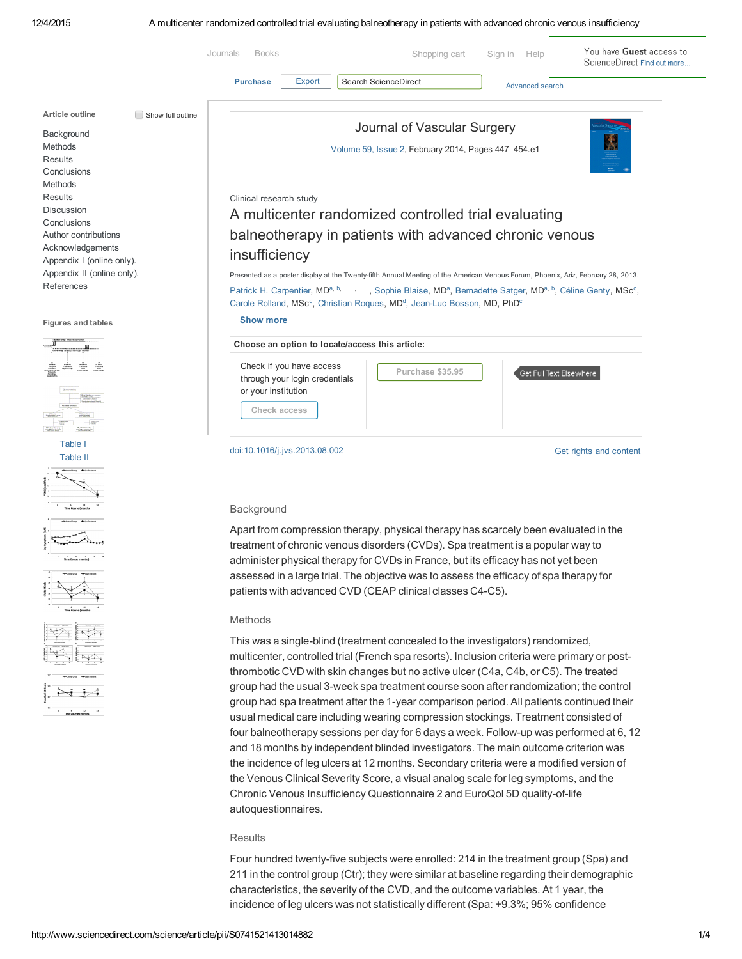

# **Results**

Four hundred twenty-five subjects were enrolled: 214 in the treatment group (Spa) and 211 in the control group (Ctr); they were similar at baseline regarding their demographic characteristics, the severity of the CVD, and the outcome variables. At 1 year, the incidence of leg ulcers was not statistically different (Spa: +9.3%; 95% confidence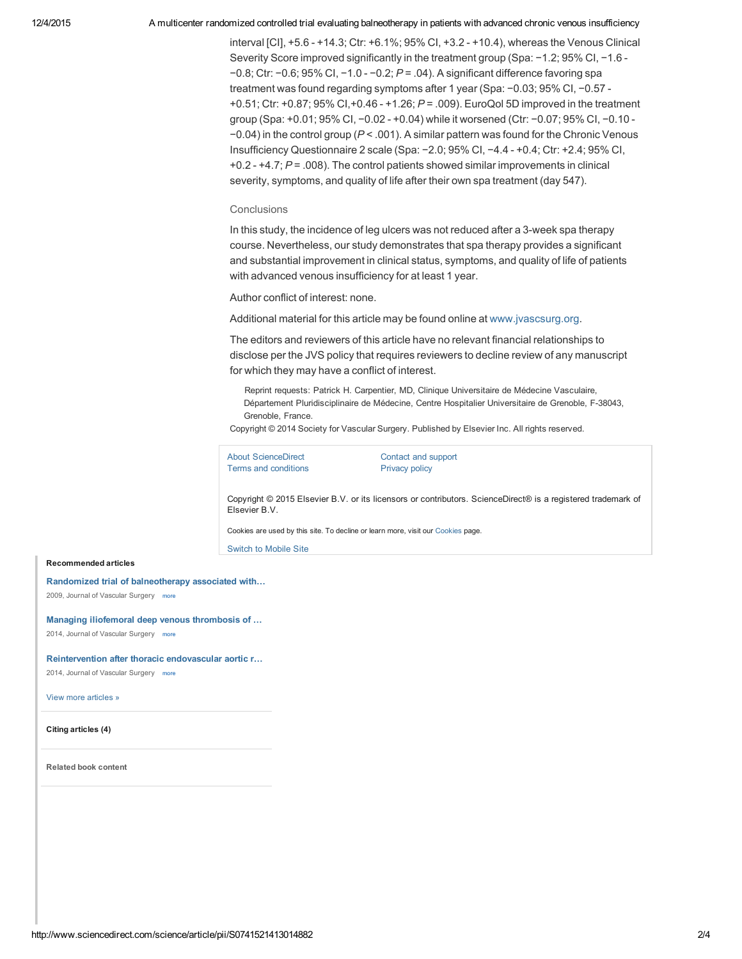#### 12/4/2015 A multicenter randomized controlled trial evaluating balneotherapy in patients with advanced chronic venous insufficiency

interval [CI], +5.6 +14.3; Ctr: +6.1%; 95% CI, +3.2 +10.4), whereas the Venous Clinical Severity Score improved significantly in the treatment group (Spa: −1.2; 95% CI, −1.6 -−0.8; Ctr: −0.6; 95% CI, −1.0 −0.2; *P* = .04). A significant difference favoring spa treatment was found regarding symptoms after 1 year (Spa: −0.03; 95% CI, −0.57 +0.51; Ctr: +0.87; 95% CI,+0.46 +1.26; *P* = .009). EuroQol 5D improved in the treatment group (Spa: +0.01; 95% CI, -0.02 - +0.04) while it worsened (Ctr: -0.07; 95% CI, -0.10 -−0.04) in the control group (*P* < .001). A similar pattern was found for the Chronic Venous Insufficiency Questionnaire 2 scale (Spa: −2.0; 95% CI, −4.4 +0.4; Ctr: +2.4; 95% CI, +0.2 +4.7; *P* = .008). The control patients showed similar improvements in clinical severity, symptoms, and quality of life after their own spa treatment (day 547).

## **Conclusions**

In this study, the incidence of leg ulcers was not reduced after a 3-week spa therapy course. Nevertheless, our study demonstrates that spa therapy provides a significant and substantial improvement in clinical status, symptoms, and quality of life of patients with advanced venous insufficiency for at least 1 year.

Author conflict of interest: none.

Additional material for this article may be found online at [www.jvascsurg.org](http://www.jvascsurg.org/).

The editors and reviewers of this article have no relevant financial relationships to disclose per the JVS policy that requires reviewers to decline review of any manuscript for which they may have a conflict of interest.

Reprint requests: Patrick H. Carpentier, MD, Clinique Universitaire de Médecine Vasculaire, Département Pluridisciplinaire de Médecine, Centre Hospitalier Universitaire de Grenoble, F-38043, Grenoble, France.

Copyright © 2014 Society for Vascular Surgery. Published by Elsevier Inc. All rights reserved.

About [ScienceDirect](http://www.info.sciverse.com/sciencedirect?utm_source=sciencedirect&utm_medium=link&utm_campaign=aboutsd) [Contact](http://www.sciencedirect.com/science/contactus) and support Terms and [conditions](http://www.elsevier.com/locate/termsandconditions?utm_source=sciencedirect&utm_medium=link&utm_campaign=terms) **[Privacy](http://www.elsevier.com/privacypolicy?utm_source=sciencedirect&utm_medium=link&utm_campaign=privacy) policy** 

Copyright © 2015 Elsevier B.V. or its licensors or contributors. ScienceDirect® is a registered trademark of Elsevier B.V.

Cookies are used by this site. To decline or learn more, visit our [Cookies](https://www.elsevier.com/solutions/sciencedirect/support/cookies) page.

Switch to Mobile Site

### Recommended articles

Randomized trial of [balneotherapy](http://www.sciencedirect.com/science/article/pii/S0741521408012822) associated with… 2009, Journal of Vascular Surgery more

#### Managing iliofemoral deep venous [thrombosis](http://www.sciencedirect.com/science/article/pii/S0741521413014596) of …

2014, Journal of Vascular Surgery more

# [Reintervention](http://www.sciencedirect.com/science/article/pii/S0741521413016431) after thoracic endovascular aortic r…

2014, Journal of Vascular Surgery more

View more [articles](http://www.sciencedirect.com/science/recommended-articles/S0741521413014882) »

Citing articles (4)

Related book content